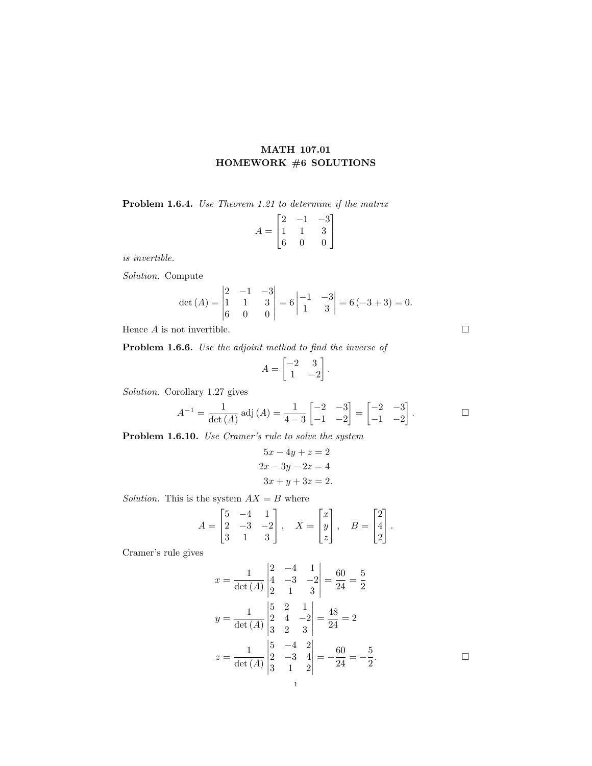## MATH 107.01 HOMEWORK #6 SOLUTIONS

Problem 1.6.4. Use Theorem 1.21 to determine if the matrix

$$
A = \begin{bmatrix} 2 & -1 & -3 \\ 1 & 1 & 3 \\ 6 & 0 & 0 \end{bmatrix}
$$

is invertible.

Solution. Compute

$$
\det\left(A\right) = \begin{vmatrix} 2 & -1 & -3 \\ 1 & 1 & 3 \\ 6 & 0 & 0 \end{vmatrix} = 6 \begin{vmatrix} -1 & -3 \\ 1 & 3 \end{vmatrix} = 6(-3+3) = 0.
$$

Hence  $A$  is not invertible.  $\square$ 

Problem 1.6.6. Use the adjoint method to find the inverse of

$$
A = \begin{bmatrix} -2 & 3\\ 1 & -2 \end{bmatrix}.
$$

Solution. Corollary 1.27 gives

$$
A^{-1} = \frac{1}{\det(A)} \operatorname{adj}(A) = \frac{1}{4-3} \begin{bmatrix} -2 & -3 \ -1 & -2 \end{bmatrix} = \begin{bmatrix} -2 & -3 \ -1 & -2 \end{bmatrix}.
$$

Problem 1.6.10. Use Cramer's rule to solve the system

$$
5x - 4y + z = 2
$$

$$
2x - 3y - 2z = 4
$$

$$
3x + y + 3z = 2.
$$

Solution. This is the system  $AX = B$  where

$$
A = \begin{bmatrix} 5 & -4 & 1 \\ 2 & -3 & -2 \\ 3 & 1 & 3 \end{bmatrix}, \quad X = \begin{bmatrix} x \\ y \\ z \end{bmatrix}, \quad B = \begin{bmatrix} 2 \\ 4 \\ 2 \end{bmatrix}.
$$

Cramer's rule gives

$$
x = \frac{1}{\det(A)} \begin{vmatrix} 2 & -4 & 1 \\ 4 & -3 & -2 \\ 2 & 1 & 3 \end{vmatrix} = \frac{60}{24} = \frac{5}{2}
$$
  

$$
y = \frac{1}{\det(A)} \begin{vmatrix} 5 & 2 & 1 \\ 2 & 4 & -2 \\ 3 & 2 & 3 \end{vmatrix} = \frac{48}{24} = 2
$$
  

$$
z = \frac{1}{\det(A)} \begin{vmatrix} 5 & -4 & 2 \\ 2 & -3 & 4 \\ 3 & 1 & 2 \end{vmatrix} = -\frac{60}{24} = -\frac{5}{2}.
$$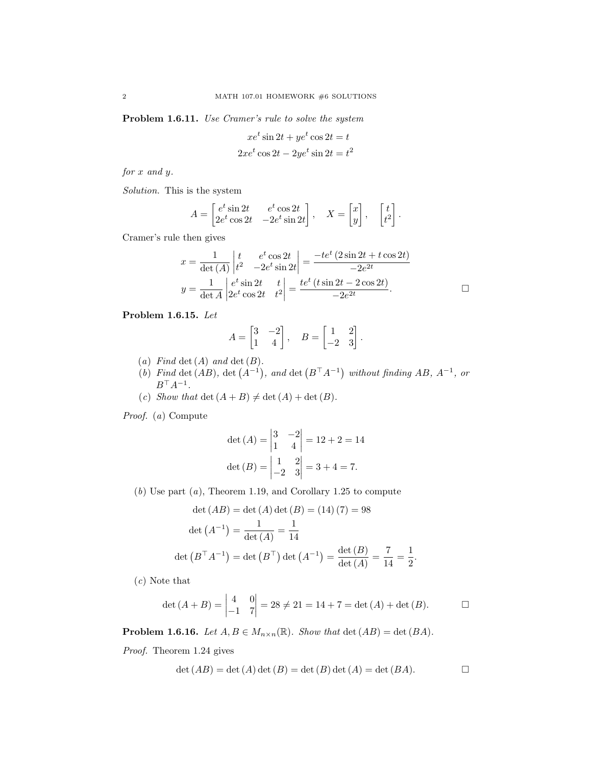Problem 1.6.11. Use Cramer's rule to solve the system

$$
xe^{t} \sin 2t + ye^{t} \cos 2t = t
$$
  

$$
2xe^{t} \cos 2t - 2ye^{t} \sin 2t = t^{2}
$$

for x and y.

Solution. This is the system

$$
A = \begin{bmatrix} e^t \sin 2t & e^t \cos 2t \\ 2e^t \cos 2t & -2e^t \sin 2t \end{bmatrix}, \quad X = \begin{bmatrix} x \\ y \end{bmatrix}, \quad \begin{bmatrix} t \\ t^2 \end{bmatrix}.
$$

Cramer's rule then gives

$$
x = \frac{1}{\det(A)} \begin{vmatrix} t & e^t \cos 2t \\ t^2 & -2e^t \sin 2t \end{vmatrix} = \frac{-te^t (2 \sin 2t + t \cos 2t)}{-2e^{2t}}
$$
  

$$
y = \frac{1}{\det A} \begin{vmatrix} e^t \sin 2t & t \\ 2e^t \cos 2t & t^2 \end{vmatrix} = \frac{te^t (t \sin 2t - 2 \cos 2t)}{-2e^{2t}}.
$$

Problem 1.6.15. Let

$$
A = \begin{bmatrix} 3 & -2 \\ 1 & 4 \end{bmatrix}, \quad B = \begin{bmatrix} 1 & 2 \\ -2 & 3 \end{bmatrix}.
$$

- (a) Find det  $(A)$  and det  $(B)$ .
- (b) Find det (AB), det  $(A^{-1})$ , and det  $(B^TA^{-1})$  without finding AB,  $A^{-1}$ , or  $B^{\top}A^{-1}$ .
- (c) Show that det  $(A + B) \neq \det(A) + \det(B)$ .

Proof. (a) Compute

$$
\det (A) = \begin{vmatrix} 3 & -2 \\ 1 & 4 \end{vmatrix} = 12 + 2 = 14
$$
  

$$
\det (B) = \begin{vmatrix} 1 & 2 \\ -2 & 3 \end{vmatrix} = 3 + 4 = 7.
$$

(b) Use part (a), Theorem 1.19, and Corollary 1.25 to compute

$$
\det (AB) = \det (A) \det (B) = (14) (7) = 98
$$

$$
\det (A^{-1}) = \frac{1}{\det (A)} = \frac{1}{14}
$$

$$
\det (B^{\top} A^{-1}) = \det (B^{\top}) \det (A^{-1}) = \frac{\det (B)}{\det (A)} = \frac{7}{14} = \frac{1}{2}.
$$

(c) Note that

$$
\det (A + B) = \begin{vmatrix} 4 & 0 \\ -1 & 7 \end{vmatrix} = 28 \neq 21 = 14 + 7 = \det (A) + \det (B). \square
$$

**Problem 1.6.16.** Let  $A, B \in M_{n \times n}(\mathbb{R})$ . Show that  $\det(AB) = \det(BA)$ .

Proof. Theorem 1.24 gives

$$
\det (AB) = \det (A) \det (B) = \det (B) \det (A) = \det (BA).
$$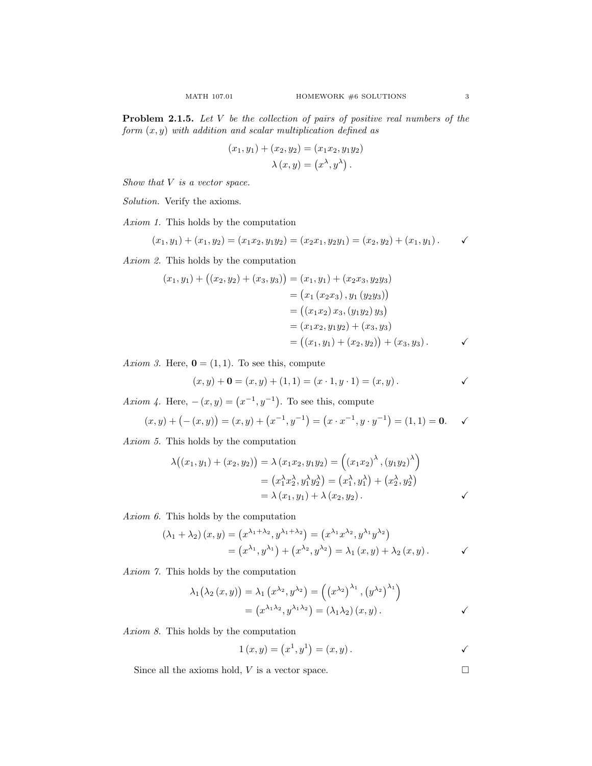**Problem 2.1.5.** Let  $V$  be the collection of pairs of positive real numbers of the form  $(x, y)$  with addition and scalar multiplication defined as

$$
(x_1, y_1) + (x_2, y_2) = (x_1 x_2, y_1 y_2)
$$

$$
\lambda (x, y) = (x^{\lambda}, y^{\lambda}).
$$

Show that  $V$  is a vector space.

Solution. Verify the axioms.

Axiom 1. This holds by the computation

$$
(x_1, y_1) + (x_1, y_2) = (x_1x_2, y_1y_2) = (x_2x_1, y_2y_1) = (x_2, y_2) + (x_1, y_1).
$$

Axiom 2. This holds by the computation

$$
(x_1, y_1) + ((x_2, y_2) + (x_3, y_3)) = (x_1, y_1) + (x_2x_3, y_2y_3)
$$
  

$$
= (x_1 (x_2x_3), y_1 (y_2y_3))
$$
  

$$
= ((x_1x_2) x_3, (y_1y_2) y_3)
$$
  

$$
= (x_1x_2, y_1y_2) + (x_3, y_3)
$$
  

$$
= ((x_1, y_1) + (x_2, y_2)) + (x_3, y_3).
$$

Axiom 3. Here,  $\mathbf{0} = (1, 1)$ . To see this, compute

$$
(x, y) + 0 = (x, y) + (1, 1) = (x \cdot 1, y \cdot 1) = (x, y).
$$

Axiom 4. Here,  $-(x, y) = (x^{-1}, y^{-1})$ . To see this, compute

$$
(x,y) + (-(x,y)) = (x,y) + (x^{-1},y^{-1}) = (x \cdot x^{-1}, y \cdot y^{-1}) = (1,1) = \mathbf{0}.\quad \checkmark
$$

Axiom 5. This holds by the computation

$$
\lambda((x_1, y_1) + (x_2, y_2)) = \lambda (x_1 x_2, y_1 y_2) = ((x_1 x_2)^{\lambda}, (y_1 y_2)^{\lambda})
$$
  
=  $(x_1^{\lambda} x_2^{\lambda}, y_1^{\lambda} y_2^{\lambda}) = (x_1^{\lambda}, y_1^{\lambda}) + (x_2^{\lambda}, y_2^{\lambda})$   
=  $\lambda (x_1, y_1) + \lambda (x_2, y_2).$ 

Axiom 6. This holds by the computation

$$
(\lambda_1 + \lambda_2) (x, y) = (x^{\lambda_1 + \lambda_2}, y^{\lambda_1 + \lambda_2}) = (x^{\lambda_1} x^{\lambda_2}, y^{\lambda_1} y^{\lambda_2})
$$
  
=  $(x^{\lambda_1}, y^{\lambda_1}) + (x^{\lambda_2}, y^{\lambda_2}) = \lambda_1 (x, y) + \lambda_2 (x, y).$ 

Axiom 7. This holds by the computation

$$
\lambda_1(\lambda_2(x, y)) = \lambda_1(x^{\lambda_2}, y^{\lambda_2}) = ((x^{\lambda_2})^{\lambda_1}, (y^{\lambda_2})^{\lambda_1})
$$
  
=  $(x^{\lambda_1 \lambda_2}, y^{\lambda_1 \lambda_2}) = (\lambda_1 \lambda_2)(x, y).$ 

Axiom 8. This holds by the computation

$$
1 (x, y) = (x1, y1) = (x, y).
$$

Since all the axioms hold,  $V$  is a vector space.  $\hfill \Box$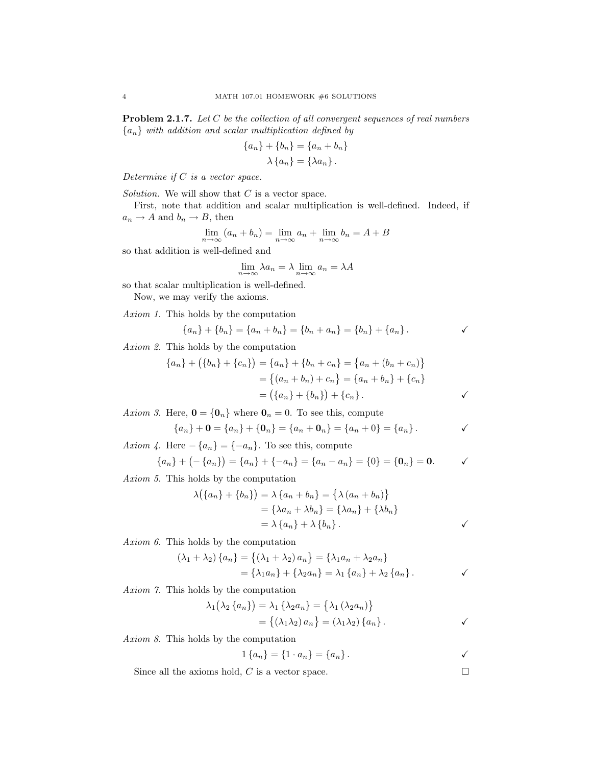Problem 2.1.7. Let C be the collection of all convergent sequences of real numbers  ${a_n}$  with addition and scalar multiplication defined by

$$
\{a_n\} + \{b_n\} = \{a_n + b_n\}
$$

$$
\lambda \{a_n\} = \{\lambda a_n\}.
$$

Determine if C is a vector space.

Solution. We will show that  $C$  is a vector space.

First, note that addition and scalar multiplication is well-defined. Indeed, if  $a_n \to A$  and  $b_n \to B$ , then

$$
\lim_{n \to \infty} (a_n + b_n) = \lim_{n \to \infty} a_n + \lim_{n \to \infty} b_n = A + B
$$

so that addition is well-defined and

$$
\lim_{n \to \infty} \lambda a_n = \lambda \lim_{n \to \infty} a_n = \lambda A
$$

so that scalar multiplication is well-defined.

Now, we may verify the axioms.

Axiom 1. This holds by the computation

$$
\{a_n\} + \{b_n\} = \{a_n + b_n\} = \{b_n + a_n\} = \{b_n\} + \{a_n\}.
$$

Axiom 2. This holds by the computation

$$
\{a_n\} + (\{b_n\} + \{c_n\}) = \{a_n\} + \{b_n + c_n\} = \{a_n + (b_n + c_n)\}\
$$

$$
= \{(a_n + b_n) + c_n\} = \{a_n + b_n\} + \{c_n\}
$$

$$
= (\{a_n\} + \{b_n\}) + \{c_n\}.
$$

Axiom 3. Here,  $\mathbf{0} = {\mathbf{0}_n}$  where  $\mathbf{0}_n = 0$ . To see this, compute

$$
\{a_n\} + \mathbf{0} = \{a_n\} + \{\mathbf{0}_n\} = \{a_n + \mathbf{0}_n\} = \{a_n + 0\} = \{a_n\}.
$$

Axiom 4. Here  $-\{a_n\} = \{-a_n\}$ . To see this, compute

$$
\{a_n\} + (-\{a_n\}) = \{a_n\} + \{-a_n\} = \{a_n - a_n\} = \{0\} = \{\mathbf{0}_n\} = \mathbf{0}.
$$

Axiom 5. This holds by the computation

$$
\lambda(\lbrace a_n \rbrace + \lbrace b_n \rbrace) = \lambda \lbrace a_n + b_n \rbrace = \lbrace \lambda (a_n + b_n) \rbrace
$$
  
= 
$$
\lbrace \lambda a_n + \lambda b_n \rbrace = \lbrace \lambda a_n \rbrace + \lbrace \lambda b_n \rbrace
$$
  
= 
$$
\lambda \lbrace a_n \rbrace + \lambda \lbrace b_n \rbrace.
$$

Axiom 6. This holds by the computation

$$
(\lambda_1 + \lambda_2) \{a_n\} = \{(\lambda_1 + \lambda_2) a_n\} = \{\lambda_1 a_n + \lambda_2 a_n\}
$$
  
=  $\{\lambda_1 a_n\} + \{\lambda_2 a_n\} = \lambda_1 \{a_n\} + \lambda_2 \{a_n\}.$ 

Axiom 7. This holds by the computation

$$
\lambda_1(\lambda_2 \{a_n\}) = \lambda_1 \{\lambda_2 a_n\} = \{\lambda_1 (\lambda_2 a_n)\}
$$
  
=  $\{(\lambda_1 \lambda_2) a_n\} = (\lambda_1 \lambda_2) \{a_n\}.$ 

Axiom 8. This holds by the computation

$$
1\{a_n\} = \{1 \cdot a_n\} = \{a_n\}.
$$

Since all the axioms hold, C is a vector space.  $\square$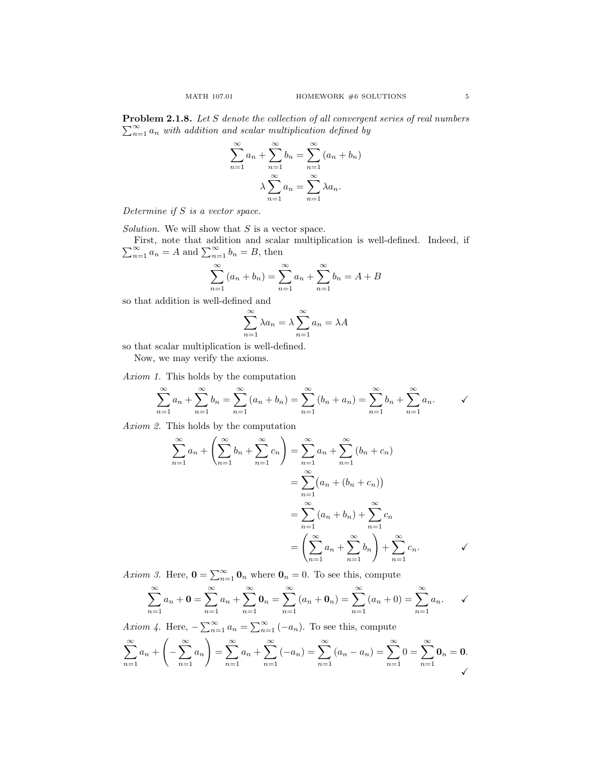**Problem 2.1.8.** Let S denote the collection of all convergent series of real numbers  $\sum_{n=1}^{\infty} a_n$  with addition and scalar multiplication defined by

$$
\sum_{n=1}^{\infty} a_n + \sum_{n=1}^{\infty} b_n = \sum_{n=1}^{\infty} (a_n + b_n)
$$

$$
\lambda \sum_{n=1}^{\infty} a_n = \sum_{n=1}^{\infty} \lambda a_n.
$$

Determine if S is a vector space.

Solution. We will show that  $S$  is a vector space.

 $\sum$ First, note that addition and scalar multiplication is well-defined. Indeed, if  $\sum_{n=1}^{\infty} a_n = A$  and  $\sum_{n=1}^{\infty} b_n = B$ , then

$$
\sum_{n=1}^{\infty} (a_n + b_n) = \sum_{n=1}^{\infty} a_n + \sum_{n=1}^{\infty} b_n = A + B
$$

so that addition is well-defined and

$$
\sum_{n=1}^{\infty} \lambda a_n = \lambda \sum_{n=1}^{\infty} a_n = \lambda A
$$

so that scalar multiplication is well-defined.

Now, we may verify the axioms.

Axiom 1. This holds by the computation

$$
\sum_{n=1}^{\infty} a_n + \sum_{n=1}^{\infty} b_n = \sum_{n=1}^{\infty} (a_n + b_n) = \sum_{n=1}^{\infty} (b_n + a_n) = \sum_{n=1}^{\infty} b_n + \sum_{n=1}^{\infty} a_n.
$$

Axiom 2. This holds by the computation

$$
\sum_{n=1}^{\infty} a_n + \left(\sum_{n=1}^{\infty} b_n + \sum_{n=1}^{\infty} c_n\right) = \sum_{n=1}^{\infty} a_n + \sum_{n=1}^{\infty} (b_n + c_n)
$$

$$
= \sum_{n=1}^{\infty} (a_n + (b_n + c_n))
$$

$$
= \sum_{n=1}^{\infty} (a_n + b_n) + \sum_{n=1}^{\infty} c_n
$$

$$
= \left(\sum_{n=1}^{\infty} a_n + \sum_{n=1}^{\infty} b_n\right) + \sum_{n=1}^{\infty} c_n.
$$

Axiom 3. Here,  $\mathbf{0} = \sum_{n=1}^{\infty} \mathbf{0}_n$  where  $\mathbf{0}_n = 0$ . To see this, compute

$$
\sum_{n=1}^{\infty} a_n + \mathbf{0} = \sum_{n=1}^{\infty} a_n + \sum_{n=1}^{\infty} \mathbf{0}_n = \sum_{n=1}^{\infty} (a_n + \mathbf{0}_n) = \sum_{n=1}^{\infty} (a_n + 0) = \sum_{n=1}^{\infty} a_n.
$$

Axiom 4. Here,  $-\sum_{n=1}^{\infty} a_n = \sum_{n=1}^{\infty} (-a_n)$ . To see this, compute

$$
\sum_{n=1}^{\infty} a_n + \left( -\sum_{n=1}^{\infty} a_n \right) = \sum_{n=1}^{\infty} a_n + \sum_{n=1}^{\infty} (-a_n) = \sum_{n=1}^{\infty} (a_n - a_n) = \sum_{n=1}^{\infty} 0 = \sum_{n=1}^{\infty} 0_n = 0.
$$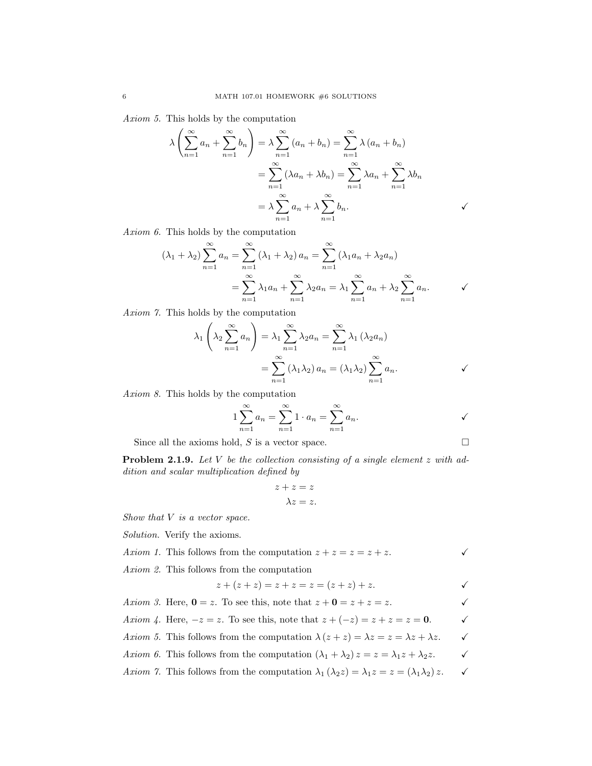Axiom 5. This holds by the computation

$$
\lambda \left( \sum_{n=1}^{\infty} a_n + \sum_{n=1}^{\infty} b_n \right) = \lambda \sum_{n=1}^{\infty} (a_n + b_n) = \sum_{n=1}^{\infty} \lambda (a_n + b_n)
$$

$$
= \sum_{n=1}^{\infty} (\lambda a_n + \lambda b_n) = \sum_{n=1}^{\infty} \lambda a_n + \sum_{n=1}^{\infty} \lambda b_n
$$

$$
= \lambda \sum_{n=1}^{\infty} a_n + \lambda \sum_{n=1}^{\infty} b_n.
$$

Axiom 6. This holds by the computation

$$
(\lambda_1 + \lambda_2) \sum_{n=1}^{\infty} a_n = \sum_{n=1}^{\infty} (\lambda_1 + \lambda_2) a_n = \sum_{n=1}^{\infty} (\lambda_1 a_n + \lambda_2 a_n)
$$
  
= 
$$
\sum_{n=1}^{\infty} \lambda_1 a_n + \sum_{n=1}^{\infty} \lambda_2 a_n = \lambda_1 \sum_{n=1}^{\infty} a_n + \lambda_2 \sum_{n=1}^{\infty} a_n.
$$

Axiom 7. This holds by the computation

$$
\lambda_1 \left( \lambda_2 \sum_{n=1}^{\infty} a_n \right) = \lambda_1 \sum_{n=1}^{\infty} \lambda_2 a_n = \sum_{n=1}^{\infty} \lambda_1 (\lambda_2 a_n)
$$

$$
= \sum_{n=1}^{\infty} (\lambda_1 \lambda_2) a_n = (\lambda_1 \lambda_2) \sum_{n=1}^{\infty} a_n.
$$

Axiom 8. This holds by the computation

$$
1\sum_{n=1}^{\infty} a_n = \sum_{n=1}^{\infty} 1 \cdot a_n = \sum_{n=1}^{\infty} a_n.
$$

Since all the axioms hold,  $S$  is a vector space.  $\Box$ 

**Problem 2.1.9.** Let V be the collection consisting of a single element  $z$  with addition and scalar multiplication defined by

$$
z + z = z
$$

$$
\lambda z = z.
$$

Show that  $V$  is a vector space.

Solution. Verify the axioms.

| Axiom 1. This follows from the computation $z + z = z = z + z$ . |  |
|------------------------------------------------------------------|--|
| Axiom 2. This follows from the computation                       |  |

$$
z + (z + z) = z + z = z = (z + z) + z.
$$

Axiom 3. Here, 
$$
0 = z
$$
. To see this, note that  $z + 0 = z + z = z$ .  
\nAxiom 4. Here,  $-z = z$ . To see this, note that  $z + (-z) = z + z = z = 0$ .

- Axiom 5. This follows from the computation  $\lambda (z + z) = \lambda z = z = \lambda z + \lambda z$ .
- Axiom 6. This follows from the computation  $(\lambda_1 + \lambda_2) z = z = \lambda_1 z + \lambda_2 z$ .
- Axiom 7. This follows from the computation  $\lambda_1(\lambda_2 z) = \lambda_1 z = z = (\lambda_1 \lambda_2) z$ .